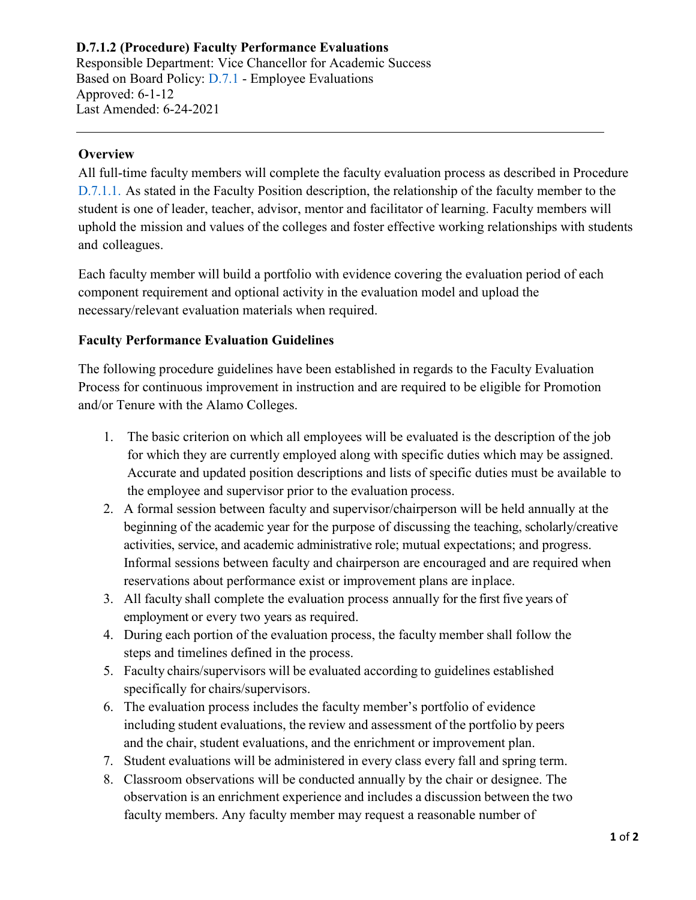## **D.7.1.2 (Procedure) Faculty Performance Evaluations**

Responsible Department: Vice Chancellor for Academic Success Based on Board Policy: [D.7.1 -](https://www.alamo.edu/siteassets/district/about-us/leadership/board-of-trustees/policies-pdfs/section-d/d.7.1-policy.pdf) Employee Evaluations Approved: 6-1-12 Last Amended: 6-24-2021

## **Overview**

All full-time faculty members will complete the faculty evaluation process as described in Procedure D.7.1.1. As stated in the Faculty Position description, the relationship of the faculty member to the student is one of leader, teacher, advisor, mentor and facilitator of learning. Faculty members will uphold the mission and values of the colleges and foster effective working relationships with students and colleagues.

Each faculty member will build a portfolio with evidence covering the evaluation period of each component requirement and optional activity in the evaluation model and upload the necessary/relevant evaluation materials when required.

## **Faculty Performance Evaluation Guidelines**

The following procedure guidelines have been established in regards to the Faculty Evaluation Process for continuous improvement in instruction and are required to be eligible for Promotion and/or Tenure with the Alamo Colleges.

- 1. The basic criterion on which all employees will be evaluated is the description of the job for which they are currently employed along with specific duties which may be assigned. Accurate and updated position descriptions and lists of specific duties must be available to the employee and supervisor prior to the evaluation process.
- 2. A formal session between faculty and supervisor/chairperson will be held annually at the beginning of the academic year for the purpose of discussing the teaching, scholarly/creative activities, service, and academic administrative role; mutual expectations; and progress. Informal sessions between faculty and chairperson are encouraged and are required when reservations about performance exist or improvement plans are inplace.
- 3. All faculty shall complete the evaluation process annually for the first five years of employment or every two years as required.
- 4. During each portion of the evaluation process, the faculty member shall follow the steps and timelines defined in the process.
- 5. Faculty chairs/supervisors will be evaluated according to guidelines established specifically for chairs/supervisors.
- 6. The evaluation process includes the faculty member's portfolio of evidence including student evaluations, the review and assessment of the portfolio by peers and the chair, student evaluations, and the enrichment or improvement plan.
- 7. Student evaluations will be administered in every class every fall and spring term.
- 8. Classroom observations will be conducted annually by the chair or designee. The observation is an enrichment experience and includes a discussion between the two faculty members. Any faculty member may request a reasonable number of